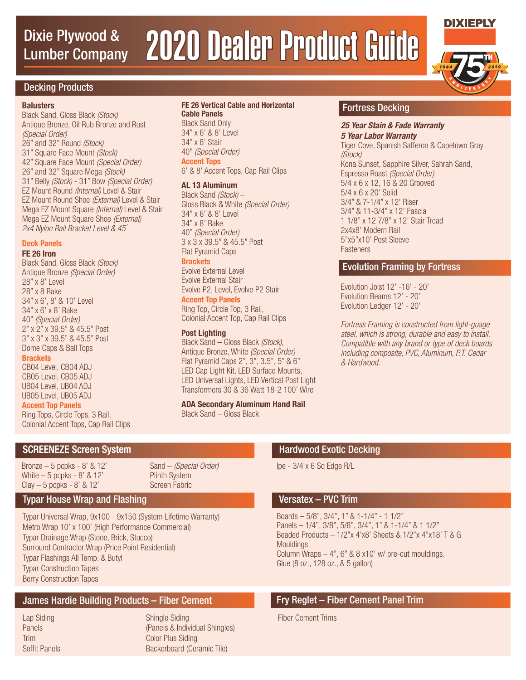# Dixie Plywood & 2020 Dealer Product Guide Lumber Company



**DIXIEPLY** 

# Decking Products

### **Balusters**

Black Sand, Gloss Black (Stock) Antique Bronze, Oil Rub Bronze and Rust (Special Order) 26" and 32" Round (Stock) 31" Square Face Mount (Stock) 42" Square Face Mount (Special Order) 26" and 32" Square Mega (Stock) 31" Belly (Stock) - 31" Bow (Special Order) EZ Mount Round (Internal) Level & Stair EZ Mount Round Shoe (External) Level & Stair Mega EZ Mount Square (Internal) Level & Stair Mega EZ Mount Square Shoe (External) 2x4 Nylon Rail Bracket Level & 45˚

### **Deck Panels**

### **FE 26 Iron**

Black Sand, Gloss Black (Stock) Antique Bronze (Special Order) 28" x 8' Level 28" x 8 Rake 34" x 6', 8' & 10' Level 34" x 6' x 8' Rake 40" (Special Order) 2" x 2" x 39.5" & 45.5" Post 3" x 3" x 39.5" & 45.5" Post Dome Caps & Ball Tops

### **Brackets**

CB04 Level, CB04 ADJ CB05 Level, CB05 ADJ UB04 Level, UB04 ADJ UB05 Level, UB05 ADJ

### **Accent Top Panels**

Ring Tops, Circle Tops, 3 Rail, Colonial Accent Tops, Cap Rail Clips

# **FE 26 Vertical Cable and Horizontal**

**Cable Panels** Black Sand Only 34" x 6' & 8' Level 34" x 8' Stair 40" (Special Order) **Accent Tops** 6' & 8' Accent Tops, Cap Rail Clips

## **AL 13 Aluminum**

Black Sand (Stock) – Gloss Black & White (Special Order) 34" x 6' & 8' Level 34" x 8' Rake 40" (Special Order) 3 x 3 x 39.5" & 45.5" Post Flat Pyramid Caps **Brackets**

Evolve External Level Evolve External Stair Evolve P2, Level, Evolve P2 Stair **Accent Top Panels**

Ring Top, Circle Top, 3 Rail, Colonial Accent Top, Cap Rail Clips

### **Post Lighting**

Black Sand – Gloss Black (Stock), Antique Bronze, White (Special Order) Flat Pyramid Caps 2", 3", 3.5", 5" & 6" LED Cap Light Kit, LED Surface Mounts, LED Universal Lights, LED Vertical Post Light Transformers 30 & 36 Watt 18-2 100' Wire

**ADA Secondary Aluminum Hand Rail** Black Sand – Gloss Black

# Fortress Decking

### **25 Year Stain & Fade Warranty 5 Year Labor Warranty**

Tiger Cove, Spanish Safferon & Capetown Gray (Stock) Kona Sunset, Sapphire Silver, Sahrah Sand, Espresso Roast (Special Order) 5/4 x 6 x 12, 16 & 20 Grooved 5/4 x 6 x 20' Solid 3/4" & 7-1/4" x 12' Riser 3/4" & 11-3/4" x 12' Fascia 1 1/8" x 12 7/8" x 12' Stair Tread 2x4x8' Modern Rail 5"x5"x10' Post Sleeve **Fasteners** 

# Evolution Framing by Fortress

Evolution Joist 12' -16' - 20' Evolution Beams 12' - 20' Evolution Ledger 12' - 20'

Fortress Framing is constructed from light-guage steel, which is strong, durable and easy to install. Compatible with any brand or type of deck boards including composite, PVC, Aluminum, P.T. Cedar & Hardwood.

# SCREENEZE Screen System **Hardwood Exotic Decking** SCREENEZE Screen System

Bronze – 5 pcpks - 8' & 12' White  $-5$  pcpks - 8' & 12'  $Clay - 5$  pcpks - 8' & 12'

# Screen Fabric

Typar Universal Wrap, 9x100 - 9x150 (System Lifetime Warranty) Metro Wrap 10' x 100' (High Performance Commercial) Typar Drainage Wrap (Stone, Brick, Stucco) Surround Contractor Wrap (Price Point Residential) Typar Flashings All Temp. & Butyl Typar Construction Tapes Berry Construction Tapes

# James Hardie Building Products – Fiber Cement Fry Reglet – Fiber Cement Panel Trim

Lap Siding **Panels** Trim Soffit Panels Shingle Siding (Panels & Individual Shingles) Color Plus Siding Backerboard (Ceramic Tile)

Sand – (Special Order) Plinth System

Ipe - 3/4 x 6 Sq Edge R/L

# Typar House Wrap and Flashing Versatex – PVC Trim

Boards – 5/8", 3/4", 1" & 1-1/4" - 1 1/2" Panels – 1/4", 3/8", 5/8", 3/4", 1" & 1-1/4" & 1 1/2" Beaded Products – 1/2"x 4'x8' Sheets & 1/2"x 4"x18' T & G **Mouldings** Column Wraps  $-4$ ", 6" & 8 x10' w/ pre-cut mouldings. Glue (8 oz., 128 oz., & 5 gallon)

Fiber Cement Trims